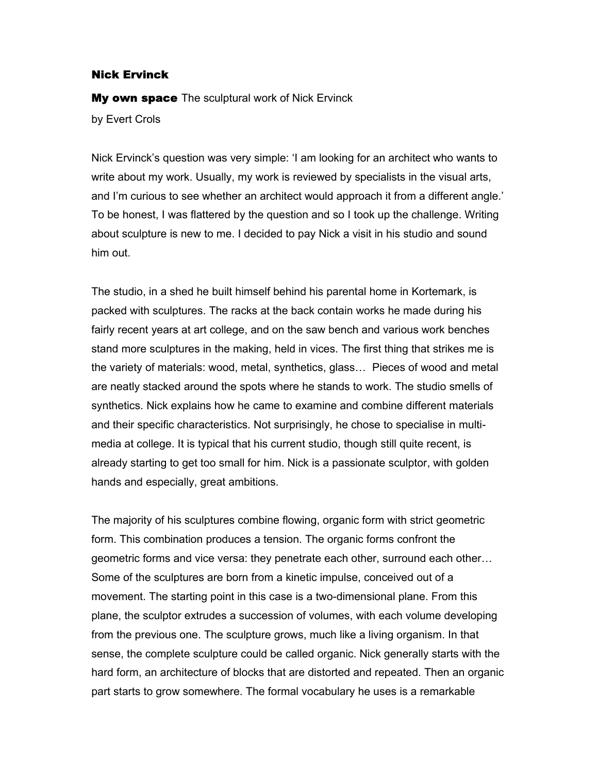## Nick Ervinck

**My own space** The sculptural work of Nick Ervinck by Evert Crols

Nick Ervinck's question was very simple: 'I am looking for an architect who wants to write about my work. Usually, my work is reviewed by specialists in the visual arts, and I'm curious to see whether an architect would approach it from a different angle.' To be honest, I was flattered by the question and so I took up the challenge. Writing about sculpture is new to me. I decided to pay Nick a visit in his studio and sound him out.

The studio, in a shed he built himself behind his parental home in Kortemark, is packed with sculptures. The racks at the back contain works he made during his fairly recent years at art college, and on the saw bench and various work benches stand more sculptures in the making, held in vices. The first thing that strikes me is the variety of materials: wood, metal, synthetics, glass… Pieces of wood and metal are neatly stacked around the spots where he stands to work. The studio smells of synthetics. Nick explains how he came to examine and combine different materials and their specific characteristics. Not surprisingly, he chose to specialise in multimedia at college. It is typical that his current studio, though still quite recent, is already starting to get too small for him. Nick is a passionate sculptor, with golden hands and especially, great ambitions.

The majority of his sculptures combine flowing, organic form with strict geometric form. This combination produces a tension. The organic forms confront the geometric forms and vice versa: they penetrate each other, surround each other… Some of the sculptures are born from a kinetic impulse, conceived out of a movement. The starting point in this case is a two-dimensional plane. From this plane, the sculptor extrudes a succession of volumes, with each volume developing from the previous one. The sculpture grows, much like a living organism. In that sense, the complete sculpture could be called organic. Nick generally starts with the hard form, an architecture of blocks that are distorted and repeated. Then an organic part starts to grow somewhere. The formal vocabulary he uses is a remarkable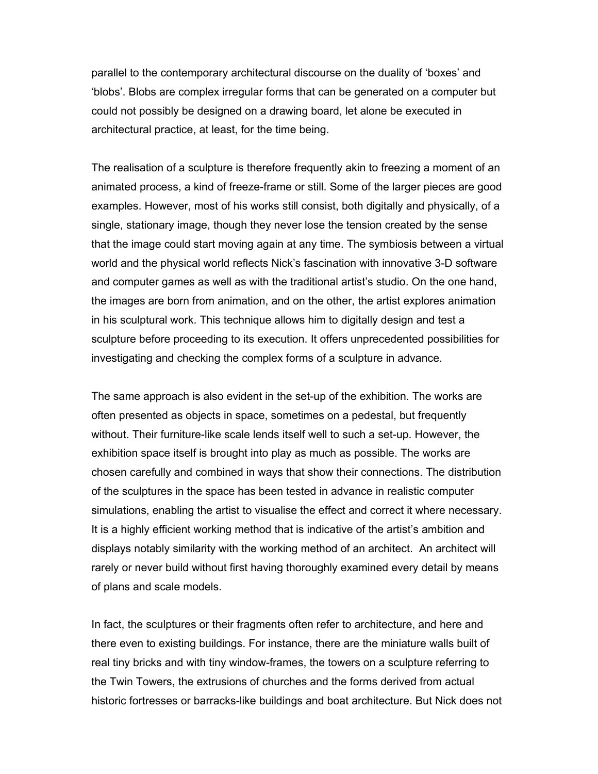parallel to the contemporary architectural discourse on the duality of 'boxes' and 'blobs'. Blobs are complex irregular forms that can be generated on a computer but could not possibly be designed on a drawing board, let alone be executed in architectural practice, at least, for the time being.

The realisation of a sculpture is therefore frequently akin to freezing a moment of an animated process, a kind of freeze-frame or still. Some of the larger pieces are good examples. However, most of his works still consist, both digitally and physically, of a single, stationary image, though they never lose the tension created by the sense that the image could start moving again at any time. The symbiosis between a virtual world and the physical world reflects Nick's fascination with innovative 3-D software and computer games as well as with the traditional artist's studio. On the one hand, the images are born from animation, and on the other, the artist explores animation in his sculptural work. This technique allows him to digitally design and test a sculpture before proceeding to its execution. It offers unprecedented possibilities for investigating and checking the complex forms of a sculpture in advance.

The same approach is also evident in the set-up of the exhibition. The works are often presented as objects in space, sometimes on a pedestal, but frequently without. Their furniture-like scale lends itself well to such a set-up. However, the exhibition space itself is brought into play as much as possible. The works are chosen carefully and combined in ways that show their connections. The distribution of the sculptures in the space has been tested in advance in realistic computer simulations, enabling the artist to visualise the effect and correct it where necessary. It is a highly efficient working method that is indicative of the artist's ambition and displays notably similarity with the working method of an architect. An architect will rarely or never build without first having thoroughly examined every detail by means of plans and scale models.

In fact, the sculptures or their fragments often refer to architecture, and here and there even to existing buildings. For instance, there are the miniature walls built of real tiny bricks and with tiny window-frames, the towers on a sculpture referring to the Twin Towers, the extrusions of churches and the forms derived from actual historic fortresses or barracks-like buildings and boat architecture. But Nick does not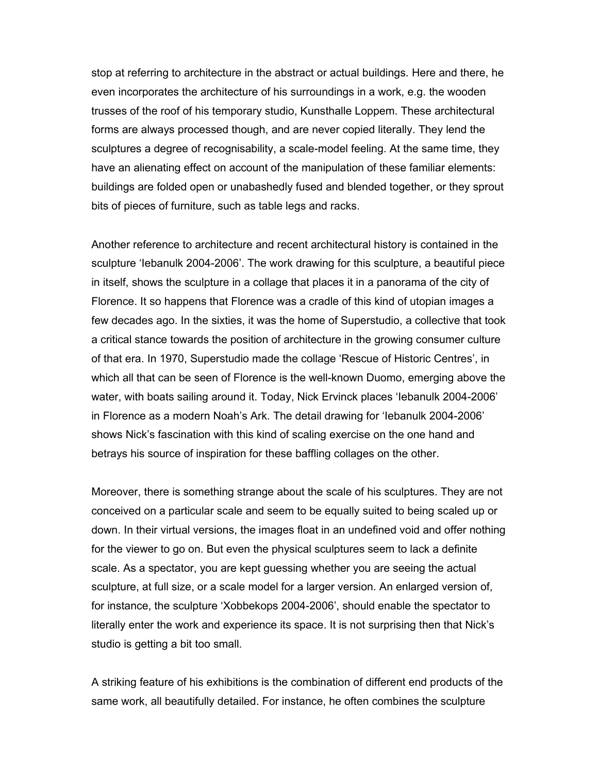stop at referring to architecture in the abstract or actual buildings. Here and there, he even incorporates the architecture of his surroundings in a work, e.g. the wooden trusses of the roof of his temporary studio, Kunsthalle Loppem. These architectural forms are always processed though, and are never copied literally. They lend the sculptures a degree of recognisability, a scale-model feeling. At the same time, they have an alienating effect on account of the manipulation of these familiar elements: buildings are folded open or unabashedly fused and blended together, or they sprout bits of pieces of furniture, such as table legs and racks.

Another reference to architecture and recent architectural history is contained in the sculpture 'Iebanulk 2004-2006'. The work drawing for this sculpture, a beautiful piece in itself, shows the sculpture in a collage that places it in a panorama of the city of Florence. It so happens that Florence was a cradle of this kind of utopian images a few decades ago. In the sixties, it was the home of Superstudio, a collective that took a critical stance towards the position of architecture in the growing consumer culture of that era. In 1970, Superstudio made the collage 'Rescue of Historic Centres', in which all that can be seen of Florence is the well-known Duomo, emerging above the water, with boats sailing around it. Today, Nick Ervinck places 'Iebanulk 2004-2006' in Florence as a modern Noah's Ark. The detail drawing for 'Iebanulk 2004-2006' shows Nick's fascination with this kind of scaling exercise on the one hand and betrays his source of inspiration for these baffling collages on the other.

Moreover, there is something strange about the scale of his sculptures. They are not conceived on a particular scale and seem to be equally suited to being scaled up or down. In their virtual versions, the images float in an undefined void and offer nothing for the viewer to go on. But even the physical sculptures seem to lack a definite scale. As a spectator, you are kept guessing whether you are seeing the actual sculpture, at full size, or a scale model for a larger version. An enlarged version of, for instance, the sculpture 'Xobbekops 2004-2006', should enable the spectator to literally enter the work and experience its space. It is not surprising then that Nick's studio is getting a bit too small.

A striking feature of his exhibitions is the combination of different end products of the same work, all beautifully detailed. For instance, he often combines the sculpture